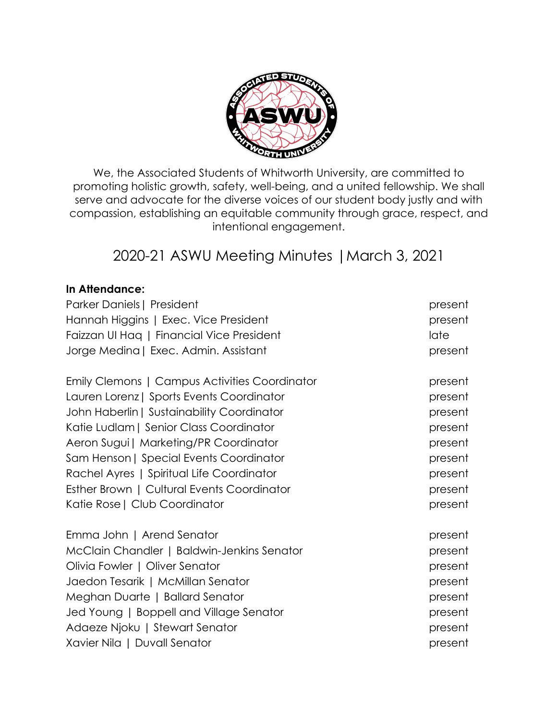

We, the Associated Students of Whitworth University, are committed to promoting holistic growth, safety, well-being, and a united fellowship. We shall serve and advocate for the diverse voices of our student body justly and with compassion, establishing an equitable community through grace, respect, and intentional engagement.

# 2020-21 ASWU Meeting Minutes |March 3, 2021

## **In Attendance:**

| Parker Daniels   President                    | present |
|-----------------------------------------------|---------|
| Hannah Higgins   Exec. Vice President         | present |
| Faizzan UI Hag   Financial Vice President     | late    |
| Jorge Medina   Exec. Admin. Assistant         | present |
| Emily Clemons   Campus Activities Coordinator | present |
| Lauren Lorenz   Sports Events Coordinator     | present |
| John Haberlin   Sustainability Coordinator    | present |
| Katie Ludlam   Senior Class Coordinator       | present |
| Aeron Sugui   Marketing/PR Coordinator        | present |
| Sam Henson   Special Events Coordinator       | present |
| Rachel Ayres   Spiritual Life Coordinator     | present |
| Esther Brown   Cultural Events Coordinator    | present |
| Katie Rose   Club Coordinator                 | present |
| Emma John   Arend Senator                     | present |
| McClain Chandler   Baldwin-Jenkins Senator    | present |
| Olivia Fowler   Oliver Senator                | present |
| Jaedon Tesarik   McMillan Senator             | present |
| Meghan Duarte   Ballard Senator               | present |
| Jed Young   Boppell and Village Senator       | present |
| Adaeze Njoku   Stewart Senator                | present |
| Xavier Nila   Duvall Senator                  | present |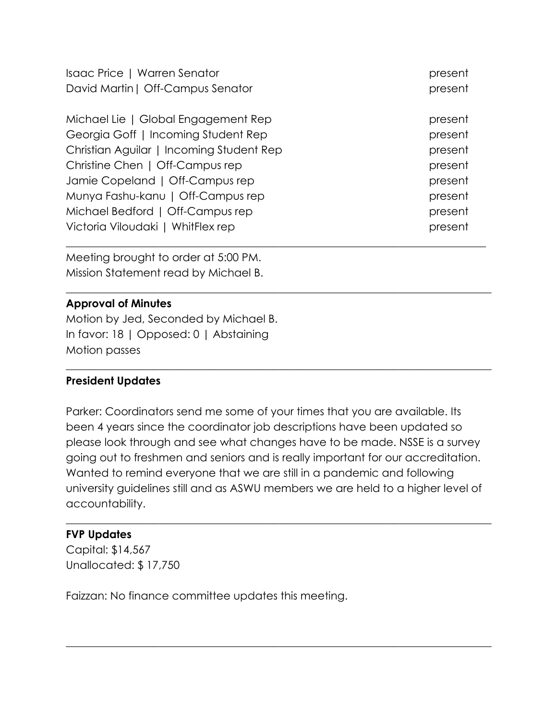| Isaac Price   Warren Senator             | present |
|------------------------------------------|---------|
| David Martin   Off-Campus Senator        | present |
|                                          |         |
| Michael Lie   Global Engagement Rep      | present |
| Georgia Goff   Incoming Student Rep      | present |
| Christian Aguilar   Incoming Student Rep | present |
| Christine Chen   Off-Campus rep          | present |
| Jamie Copeland   Off-Campus rep          | present |
| Munya Fashu-kanu   Off-Campus rep        | present |
| Michael Bedford   Off-Campus rep         | present |
| Victoria Viloudaki   WhitFlex rep        | present |
|                                          |         |

\_\_\_\_\_\_\_\_\_\_\_\_\_\_\_\_\_\_\_\_\_\_\_\_\_\_\_\_\_\_\_\_\_\_\_\_\_\_\_\_\_\_\_\_\_\_\_\_\_\_\_\_\_\_\_\_\_\_\_\_\_\_\_\_\_\_\_\_\_\_\_\_\_\_\_\_\_\_

 $\_$  , and the set of the set of the set of the set of the set of the set of the set of the set of the set of the set of the set of the set of the set of the set of the set of the set of the set of the set of the set of th

Meeting brought to order at 5:00 PM. Mission Statement read by Michael B.

# **Approval of Minutes**

Motion by Jed, Seconded by Michael B. In favor: 18 | Opposed: 0 | Abstaining Motion passes

## **President Updates**

Parker: Coordinators send me some of your times that you are available. Its been 4 years since the coordinator job descriptions have been updated so please look through and see what changes have to be made. NSSE is a survey going out to freshmen and seniors and is really important for our accreditation. Wanted to remind everyone that we are still in a pandemic and following university guidelines still and as ASWU members we are held to a higher level of accountability.

 $\_$  , and the set of the set of the set of the set of the set of the set of the set of the set of the set of the set of the set of the set of the set of the set of the set of the set of the set of the set of the set of th

 $\_$  , and the set of the set of the set of the set of the set of the set of the set of the set of the set of the set of the set of the set of the set of the set of the set of the set of the set of the set of the set of th

## **FVP Updates**

Capital: \$14,567 Unallocated: \$ 17,750

Faizzan: No finance committee updates this meeting.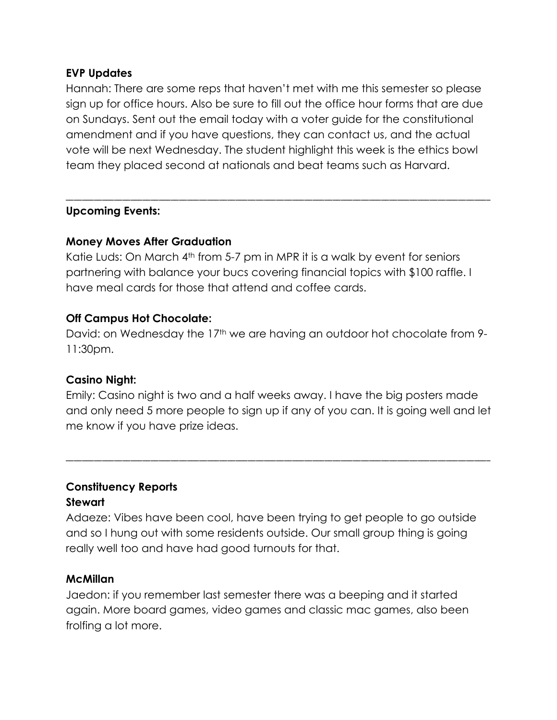#### **EVP Updates**

Hannah: There are some reps that haven't met with me this semester so please sign up for office hours. Also be sure to fill out the office hour forms that are due on Sundays. Sent out the email today with a voter guide for the constitutional amendment and if you have questions, they can contact us, and the actual vote will be next Wednesday. The student highlight this week is the ethics bowl team they placed second at nationals and beat teams such as Harvard.

\_\_\_\_\_\_\_\_\_\_\_\_\_\_\_\_\_\_\_\_\_\_\_\_\_\_\_\_\_\_\_\_\_\_\_\_\_\_\_\_\_\_\_\_\_\_\_\_\_\_\_\_\_\_\_\_\_\_\_\_\_\_\_\_\_\_\_\_\_\_\_\_\_\_\_\_\_\_\_\_\_\_\_\_\_\_\_\_\_\_\_\_\_\_\_\_\_\_\_\_\_\_\_\_\_

#### **Upcoming Events:**

#### **Money Moves After Graduation**

Katie Luds: On March 4<sup>th</sup> from 5-7 pm in MPR it is a walk by event for seniors partnering with balance your bucs covering financial topics with \$100 raffle. I have meal cards for those that attend and coffee cards.

## **Off Campus Hot Chocolate:**

David: on Wednesday the 17<sup>th</sup> we are having an outdoor hot chocolate from 9-11:30pm.

#### **Casino Night:**

Emily: Casino night is two and a half weeks away. I have the big posters made and only need 5 more people to sign up if any of you can. It is going well and let me know if you have prize ideas.

\_\_\_\_\_\_\_\_\_\_\_\_\_\_\_\_\_\_\_\_\_\_\_\_\_\_\_\_\_\_\_\_\_\_\_\_\_\_\_\_\_\_\_\_\_\_\_\_\_\_\_\_\_\_\_\_\_\_\_\_\_\_\_\_\_\_\_\_\_\_\_\_\_\_\_\_\_\_\_\_\_\_\_\_\_\_\_\_\_\_\_\_\_\_\_\_\_\_\_\_\_\_\_\_\_

# **Constituency Reports Stewart**

Adaeze: Vibes have been cool, have been trying to get people to go outside and so I hung out with some residents outside. Our small group thing is going really well too and have had good turnouts for that.

#### **McMillan**

Jaedon: if you remember last semester there was a beeping and it started again. More board games, video games and classic mac games, also been frolfing a lot more.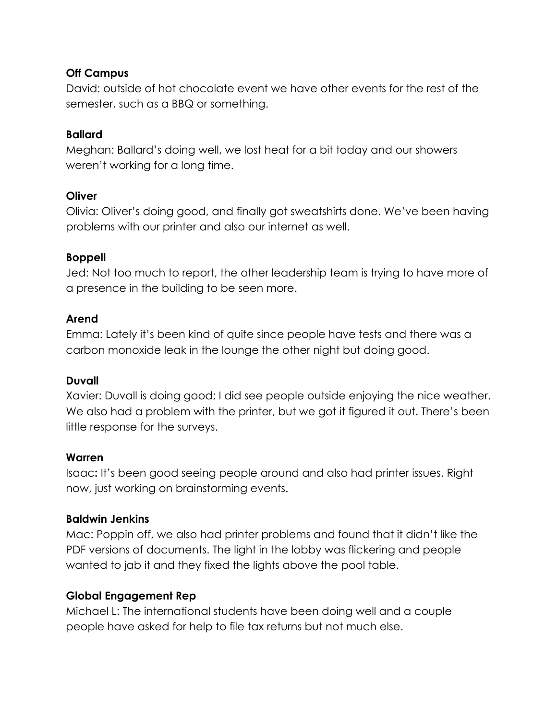# **Off Campus**

David: outside of hot chocolate event we have other events for the rest of the semester, such as a BBQ or something.

# **Ballard**

Meghan: Ballard's doing well, we lost heat for a bit today and our showers weren't working for a long time.

# **Oliver**

Olivia: Oliver's doing good, and finally got sweatshirts done. We've been having problems with our printer and also our internet as well.

# **Boppell**

Jed: Not too much to report, the other leadership team is trying to have more of a presence in the building to be seen more.

# **Arend**

Emma: Lately it's been kind of quite since people have tests and there was a carbon monoxide leak in the lounge the other night but doing good.

## **Duvall**

Xavier: Duvall is doing good; I did see people outside enjoying the nice weather. We also had a problem with the printer, but we got it figured it out. There's been little response for the surveys.

# **Warren**

Isaac**:** It's been good seeing people around and also had printer issues. Right now, just working on brainstorming events.

# **Baldwin Jenkins**

Mac: Poppin off, we also had printer problems and found that it didn't like the PDF versions of documents. The light in the lobby was flickering and people wanted to jab it and they fixed the lights above the pool table.

# **Global Engagement Rep**

Michael L: The international students have been doing well and a couple people have asked for help to file tax returns but not much else.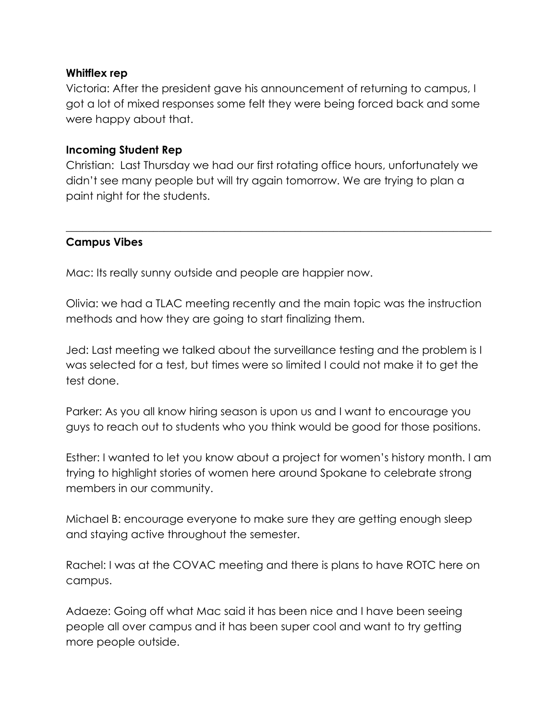#### **Whitflex rep**

Victoria: After the president gave his announcement of returning to campus, I got a lot of mixed responses some felt they were being forced back and some were happy about that.

#### **Incoming Student Rep**

Christian: Last Thursday we had our first rotating office hours, unfortunately we didn't see many people but will try again tomorrow. We are trying to plan a paint night for the students.

 $\_$  , and the set of the set of the set of the set of the set of the set of the set of the set of the set of the set of the set of the set of the set of the set of the set of the set of the set of the set of the set of th

## **Campus Vibes**

Mac: Its really sunny outside and people are happier now.

Olivia: we had a TLAC meeting recently and the main topic was the instruction methods and how they are going to start finalizing them.

Jed: Last meeting we talked about the surveillance testing and the problem is I was selected for a test, but times were so limited I could not make it to get the test done.

Parker: As you all know hiring season is upon us and I want to encourage you guys to reach out to students who you think would be good for those positions.

Esther: I wanted to let you know about a project for women's history month. I am trying to highlight stories of women here around Spokane to celebrate strong members in our community.

Michael B: encourage everyone to make sure they are getting enough sleep and staying active throughout the semester.

Rachel: I was at the COVAC meeting and there is plans to have ROTC here on campus.

Adaeze: Going off what Mac said it has been nice and I have been seeing people all over campus and it has been super cool and want to try getting more people outside.